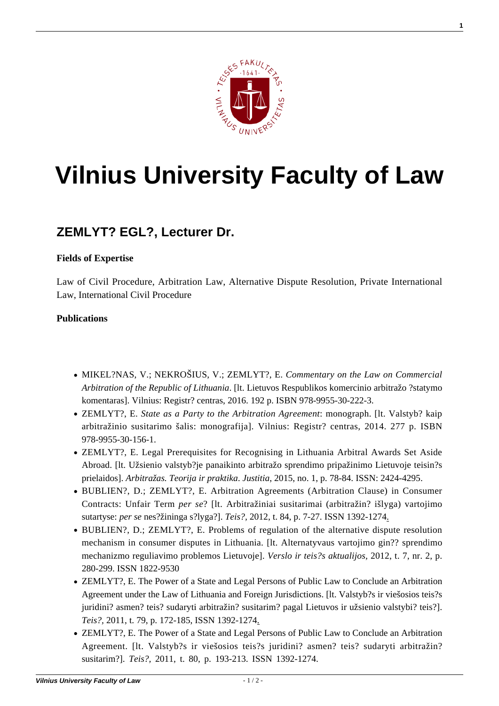

# **[Vilnius University Faculty of Law](https://www.tf.vu.lt/)**

## **[ZEMLYT? EGL?, Lecturer Dr.](https://www.tf.vu.lt/about_us/science-centers/science-center-of-private-comparative-law/zemlyte-egle-lecturer-dr/)**

#### **Fields of Expertise**

Law of Civil Procedure, Arbitration Law, Alternative Dispute Resolution, Private International Law, International Civil Procedure

#### **Publications**

- MIKEL?NAS, V.; NEKROŠIUS, V.; ZEMLYT?, E. *Commentary on the Law on Commercial Arbitration of the Republic of Lithuania*. [lt. Lietuvos Respublikos komercinio arbitražo ?statymo komentaras]. Vilnius: Registr? centras, 2016. 192 p. ISBN 978-9955-30-222-3.
- ZEMLYT?, E. *State as a Party to the Arbitration Agreement*: monograph. [lt. Valstyb? kaip arbitražinio susitarimo šalis: monografija]. Vilnius: Registr? centras, 2014. 277 p. ISBN 978-9955-30-156-1.
- ZEMLYT?, E. Legal Prerequisites for Recognising in Lithuania Arbitral Awards Set Aside Abroad. [lt. Užsienio valstyb?je panaikinto arbitražo sprendimo pripažinimo Lietuvoje teisin?s prielaidos]. *Arbitražas. Teorija ir praktika*. *Justitia*, 2015, no. 1, p. 78-84. ISSN: 2424-4295.
- [BUBLIEN?, D.; ZEMLYT?, E. Arbitration Agreements \(Arbitration Clause\) in Consumer](http://www.zurnalai.vu.lt/files/journals/5/articles/10/public/teise_84_bubliene.pdf) [Contracts: Unfair Term](http://www.zurnalai.vu.lt/files/journals/5/articles/10/public/teise_84_bubliene.pdf) *[per se](http://www.zurnalai.vu.lt/files/journals/5/articles/10/public/teise_84_bubliene.pdf)*[? \[lt. Arbitražiniai susitarimai \(arbitražin? išlyga\) vartojimo](http://www.zurnalai.vu.lt/files/journals/5/articles/10/public/teise_84_bubliene.pdf) [sutartyse:](http://www.zurnalai.vu.lt/files/journals/5/articles/10/public/teise_84_bubliene.pdf) *[per se](http://www.zurnalai.vu.lt/files/journals/5/articles/10/public/teise_84_bubliene.pdf)* [nes?žininga s?lyga?\].](http://www.zurnalai.vu.lt/files/journals/5/articles/10/public/teise_84_bubliene.pdf) *[Teis?,](http://www.zurnalai.vu.lt/files/journals/5/articles/10/public/teise_84_bubliene.pdf)* [2012, t. 84, p. 7-27. ISSN 1392-1274](http://www.zurnalai.vu.lt/files/journals/5/articles/10/public/teise_84_bubliene.pdf).
- BUBLIEN?, D.; ZEMLYT?, E. Problems of regulation of the alternative dispute resolution mechanism in consumer disputes in Lithuania. [lt. Alternatyvaus vartojimo gin?? sprendimo mechanizmo reguliavimo problemos Lietuvoje]. *Verslo ir teis?s aktualijos,* 2012, t. 7, nr. 2, p. 280-299. ISSN 1822-9530
- [ZEMLYT?, E. The Power of a State and Legal Persons of Public Law to Conclude an Arbitration](http://www.zurnalai.vu.lt/teise/article/view/178) [Agreement under the Law of Lithuania and Foreign Jurisdictions. \[lt. Valstyb?s ir viešosios teis?s](http://www.zurnalai.vu.lt/teise/article/view/178) [juridini? asmen? teis? sudaryti arbitražin? susitarim? pagal Lietuvos ir užsienio valstybi? teis?\].](http://www.zurnalai.vu.lt/teise/article/view/178) *[Teis?,](http://www.zurnalai.vu.lt/teise/article/view/178)* [2011, t. 79, p. 172-185, ISSN 1392-1274.](http://www.zurnalai.vu.lt/teise/article/view/178)
- [ZEMLYT?, E. The Power of a State and Legal Persons of Public Law to Conclude an Arbitration](http://www.zurnalai.vu.lt/files/journals/5/articles/160/public/193-213.pdf) [Agreement. \[lt. Valstyb?s ir viešosios teis?s juridini? asmen? teis? sudaryti arbitražin?](http://www.zurnalai.vu.lt/files/journals/5/articles/160/public/193-213.pdf) [susitarim?\].](http://www.zurnalai.vu.lt/files/journals/5/articles/160/public/193-213.pdf) *[Teis?,](http://www.zurnalai.vu.lt/files/journals/5/articles/160/public/193-213.pdf)* [2011, t. 80, p. 193-213. ISSN 1392-1274.](http://www.zurnalai.vu.lt/files/journals/5/articles/160/public/193-213.pdf)